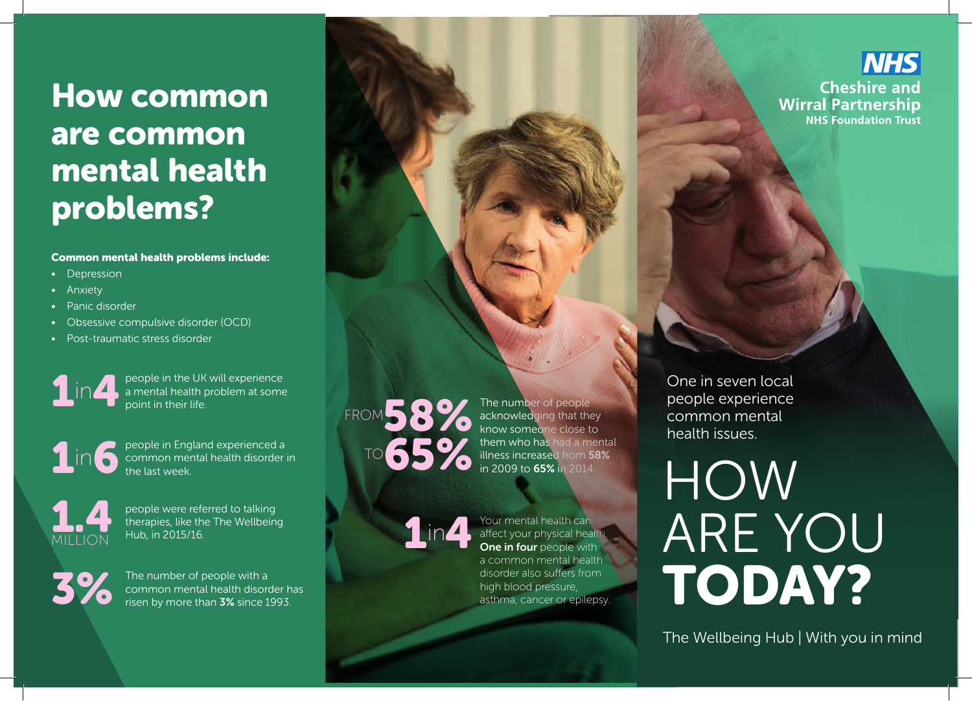### How common are common mental health problems?

#### Common mental health problems include:

- Depression
- Anxiety
- Panic disorder
- Obsessive compulsive disorder (OCD)
- Post-traumatic stress disorder



people in the UK will experience a mental health problem at some point in their life.

1in 6 people in England experienced a common mental health disorder in the last week.

1.4 MILLION

people were referred to talking therapies, like the The Wellbeing Hub, in 2015/16.

The number of people with a<br>common mental health disore common mental health disorder has risen by more than **3%** since 1993.

# FROM 58% TO  $\bigcirc$  5  $\bigcirc$  them who has had a mental illness increased from 58% in 2014.

1 in 4

The number of people acknowledging that they know someone close to illness increased from 58% in 2009 to 65% in 2014.

Your mental health can affect your physical health **One in four** people with a common mental health disorder also suffers from high blood pressure, asthma, cancer or epilepsy.

One in seven local people experience common mental health issues.

**HOW** ARE YOU TODAY?

The Wellbeing Hub | With you in mind

**NHS Cheshire and Wirral Partnership NHS Foundation Trust**